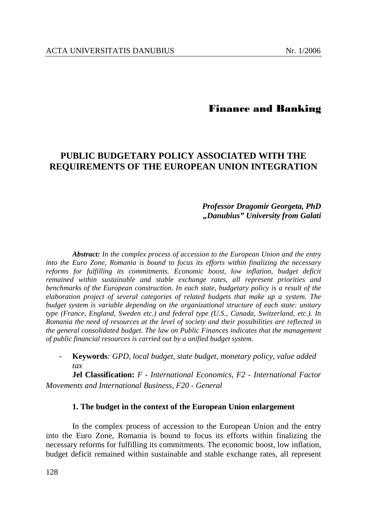# Finance and Banking

# **PUBLIC BUDGETARY POLICY ASSOCIATED WITH THE REQUIREMENTS OF THE EUROPEAN UNION INTEGRATION**

## *Professor Dragomir Georgeta, PhD "Danubius" University from Galati*

*Abstract: In the complex process of accession to the European Union and the entry into the Euro Zone, Romania is bound to focus its efforts within finalizing the necessary reforms for fulfilling its commitments. Economic boost, low inflation, budget deficit remained within sustainable and stable exchange rates, all represent priorities and benchmarks of the European construction. In each state, budgetary policy is a result of the elaboration project of several categories of related budgets that make up a system. The budget system is variable depending on the organizational structure of each state: unitary type (France, England, Sweden etc.) and federal type (U.S., Canada, Switzerland, etc.). In Romania the need of resources at the level of society and their possibilities are reflected in the general consolidated budget. The law on Public Finances indicates that the management of public financial resources is carried out by a unified budget system.* 

- **Keywords***: GPD, local budget, state budget, monetary policy, value added tax* 

**Jel Classification:** *F - International Economics, F2 - International Factor Movements and International Business, F20 - General*

### **1. The budget in the context of the European Union enlargement**

In the complex process of accession to the European Union and the entry into the Euro Zone, Romania is bound to focus its efforts within finalizing the necessary reforms for fulfilling its commitments. The economic boost, low inflation, budget deficit remained within sustainable and stable exchange rates, all represent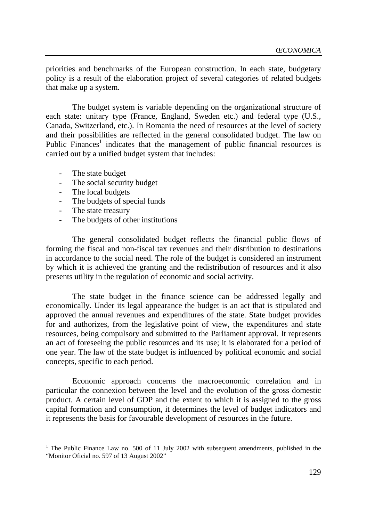priorities and benchmarks of the European construction. In each state, budgetary policy is a result of the elaboration project of several categories of related budgets that make up a system.

The budget system is variable depending on the organizational structure of each state: unitary type (France, England, Sweden etc.) and federal type (U.S., Canada, Switzerland, etc.). In Romania the need of resources at the level of society and their possibilities are reflected in the general consolidated budget. The law on Public Finances<sup>1</sup> indicates that the management of public financial resources is carried out by a unified budget system that includes:

- The state budget
- The social security budget
- The local budgets
- The budgets of special funds
- The state treasury

l

- The budgets of other institutions

The general consolidated budget reflects the financial public flows of forming the fiscal and non-fiscal tax revenues and their distribution to destinations in accordance to the social need. The role of the budget is considered an instrument by which it is achieved the granting and the redistribution of resources and it also presents utility in the regulation of economic and social activity.

The state budget in the finance science can be addressed legally and economically. Under its legal appearance the budget is an act that is stipulated and approved the annual revenues and expenditures of the state. State budget provides for and authorizes, from the legislative point of view, the expenditures and state resources, being compulsory and submitted to the Parliament approval. It represents an act of foreseeing the public resources and its use; it is elaborated for a period of one year. The law of the state budget is influenced by political economic and social concepts, specific to each period.

Economic approach concerns the macroeconomic correlation and in particular the connexion between the level and the evolution of the gross domestic product. A certain level of GDP and the extent to which it is assigned to the gross capital formation and consumption, it determines the level of budget indicators and it represents the basis for favourable development of resources in the future.

<sup>&</sup>lt;sup>1</sup> The Public Finance Law no. 500 of 11 July 2002 with subsequent amendments, published in the "Monitor Oficial no. 597 of 13 August 2002"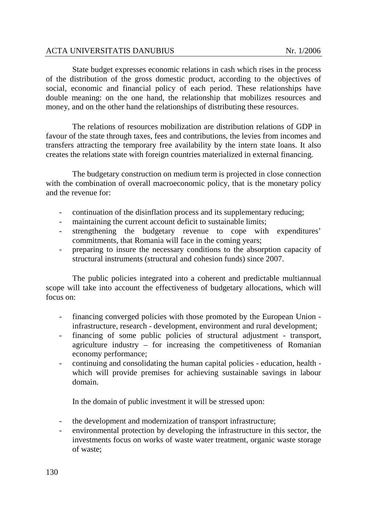State budget expresses economic relations in cash which rises in the process of the distribution of the gross domestic product, according to the objectives of social, economic and financial policy of each period. These relationships have double meaning: on the one hand, the relationship that mobilizes resources and money, and on the other hand the relationships of distributing these resources.

The relations of resources mobilization are distribution relations of GDP in favour of the state through taxes, fees and contributions, the levies from incomes and transfers attracting the temporary free availability by the intern state loans. It also creates the relations state with foreign countries materialized in external financing.

The budgetary construction on medium term is projected in close connection with the combination of overall macroeconomic policy, that is the monetary policy and the revenue for:

- continuation of the disinflation process and its supplementary reducing;
- maintaining the current account deficit to sustainable limits;
- strengthening the budgetary revenue to cope with expenditures' commitments, that Romania will face in the coming years;
- preparing to insure the necessary conditions to the absorption capacity of structural instruments (structural and cohesion funds) since 2007.

The public policies integrated into a coherent and predictable multiannual scope will take into account the effectiveness of budgetary allocations, which will focus on:

- financing converged policies with those promoted by the European Union infrastructure, research - development, environment and rural development;
- financing of some public policies of structural adjustment transport, agriculture industry – for increasing the competitiveness of Romanian economy performance;
- continuing and consolidating the human capital policies education, health which will provide premises for achieving sustainable savings in labour domain.

In the domain of public investment it will be stressed upon:

- the development and modernization of transport infrastructure;
- environmental protection by developing the infrastructure in this sector, the investments focus on works of waste water treatment, organic waste storage of waste;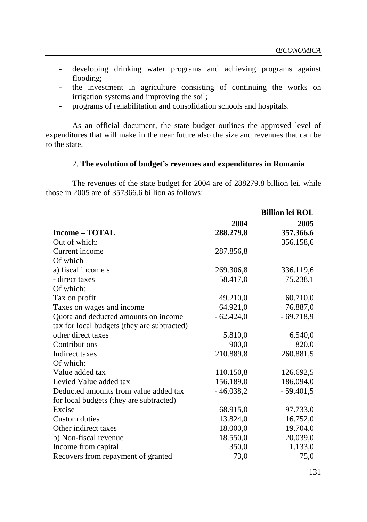- developing drinking water programs and achieving programs against flooding;
- the investment in agriculture consisting of continuing the works on irrigation systems and improving the soil;
- programs of rehabilitation and consolidation schools and hospitals.

As an official document, the state budget outlines the approved level of expenditures that will make in the near future also the size and revenues that can be to the state.

### 2. **The evolution of budget's revenues and expenditures in Romania**

The revenues of the state budget for 2004 are of 288279.8 billion lei, while those in 2005 are of 357366.6 billion as follows:

|                                             |             | <b>Billion lei ROL</b> |
|---------------------------------------------|-------------|------------------------|
|                                             | 2004        | 2005                   |
| <b>Income – TOTAL</b>                       | 288.279,8   | 357.366,6              |
| Out of which:                               |             | 356.158,6              |
| Current income                              | 287.856,8   |                        |
| Of which                                    |             |                        |
| a) fiscal income s                          | 269.306,8   | 336.119,6              |
| - direct taxes                              | 58.417,0    | 75.238,1               |
| Of which:                                   |             |                        |
| Tax on profit                               | 49.210,0    | 60.710,0               |
| Taxes on wages and income                   | 64.921,0    | 76.887,0               |
| Quota and deducted amounts on income        | $-62.424,0$ | $-69.718,9$            |
| tax for local budgets (they are subtracted) |             |                        |
| other direct taxes                          | 5.810,0     | 6.540,0                |
| Contributions                               | 900,0       | 820,0                  |
| Indirect taxes                              | 210.889,8   | 260.881,5              |
| Of which:                                   |             |                        |
| Value added tax                             | 110.150,8   | 126.692,5              |
| Levied Value added tax                      | 156.189,0   | 186.094,0              |
| Deducted amounts from value added tax       | $-46.038,2$ | $-59.401,5$            |
| for local budgets (they are subtracted)     |             |                        |
| Excise                                      | 68.915,0    | 97.733,0               |
| <b>Custom</b> duties                        | 13.824,0    | 16.752,0               |
| Other indirect taxes                        | 18.000,0    | 19.704,0               |
| b) Non-fiscal revenue                       | 18.550,0    | 20.039,0               |
| Income from capital                         | 350,0       | 1.133,0                |
| Recovers from repayment of granted          | 73,0        | 75,0                   |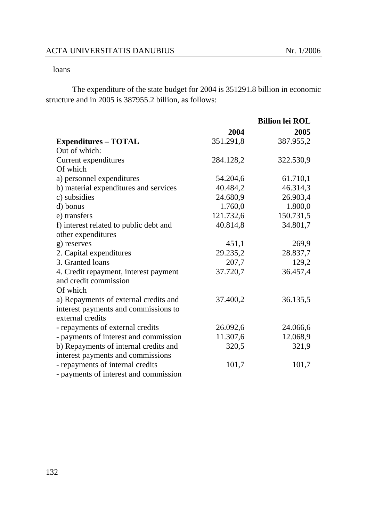### loans

The expenditure of the state budget for 2004 is 351291.8 billion in economic structure and in 2005 is 387955.2 billion, as follows:

|                                        |           | <b>Billion lei ROL</b> |
|----------------------------------------|-----------|------------------------|
|                                        | 2004      | 2005                   |
| <b>Expenditures – TOTAL</b>            | 351.291,8 | 387.955,2              |
| Out of which:                          |           |                        |
| Current expenditures                   | 284.128,2 | 322.530,9              |
| Of which                               |           |                        |
| a) personnel expenditures              | 54.204,6  | 61.710,1               |
| b) material expenditures and services  | 40.484,2  | 46.314,3               |
| c) subsidies                           | 24.680,9  | 26.903,4               |
| d) bonus                               | 1.760,0   | 1.800,0                |
| e) transfers                           | 121.732,6 | 150.731,5              |
| f) interest related to public debt and | 40.814,8  | 34.801,7               |
| other expenditures                     |           |                        |
| g) reserves                            | 451,1     | 269,9                  |
| 2. Capital expenditures                | 29.235,2  | 28.837,7               |
| 3. Granted loans                       | 207,7     | 129,2                  |
| 4. Credit repayment, interest payment  | 37.720,7  | 36.457,4               |
| and credit commission                  |           |                        |
| Of which                               |           |                        |
| a) Repayments of external credits and  | 37.400,2  | 36.135,5               |
| interest payments and commissions to   |           |                        |
| external credits                       |           |                        |
| - repayments of external credits       | 26.092,6  | 24.066,6               |
| - payments of interest and commission  | 11.307,6  | 12.068,9               |
| b) Repayments of internal credits and  | 320,5     | 321,9                  |
| interest payments and commissions      |           |                        |
| - repayments of internal credits       | 101,7     | 101,7                  |
| - payments of interest and commission  |           |                        |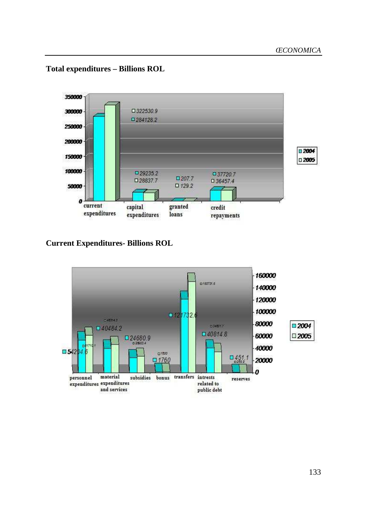

# **Total expenditures – Billions ROL**

**Current Expenditures- Billions ROL** 

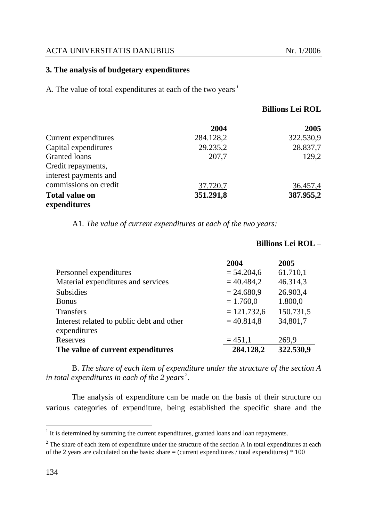### **3. The analysis of budgetary expenditures**

A. The value of total expenditures at each of the two years*<sup>1</sup>* 

|                       | 2004      | 2005      |
|-----------------------|-----------|-----------|
| Current expenditures  | 284.128,2 | 322.530,9 |
| Capital expenditures  | 29.235,2  | 28.837,7  |
| Granted loans         | 207,7     | 129,2     |
| Credit repayments,    |           |           |
| interest payments and |           |           |
| commissions on credit | 37.720,7  | 36.457,4  |
| <b>Total value on</b> | 351.291,8 | 387.955,2 |
| expenditures          |           |           |

A1*. The value of current expenditures at each of the two years:* 

|                                                           | 2004          | 2005      |
|-----------------------------------------------------------|---------------|-----------|
| Personnel expenditures                                    | $= 54.204, 6$ | 61.710,1  |
| Material expenditures and services                        | $= 40.484,2$  | 46.314,3  |
| <b>Subsidies</b>                                          | $= 24.680,9$  | 26.903,4  |
| <b>Bonus</b>                                              | $= 1.760,0$   | 1.800,0   |
| <b>Transfers</b>                                          | $= 121.732,6$ | 150.731,5 |
| Interest related to public debt and other<br>expenditures | $= 40.814,8$  | 34,801,7  |
| Reserves                                                  | $= 451,1$     | 269,9     |
| The value of current expenditures                         | 284.128,2     | 322.530,9 |

B. *The share of each item of expenditure under the structure of the section A*  in total expenditures in each of the 2 years<sup>2</sup>.

The analysis of expenditure can be made on the basis of their structure on various categories of expenditure, being established the specific share and the

#### **Billions Lei ROL** –

<sup>&</sup>lt;sup>1</sup> It is determined by summing the current expenditures, granted loans and loan repayments.

 $2^2$  The share of each item of expenditure under the structure of the section A in total expenditures at each of the 2 years are calculated on the basis: share  $=$  (current expenditures / total expenditures)  $*$  100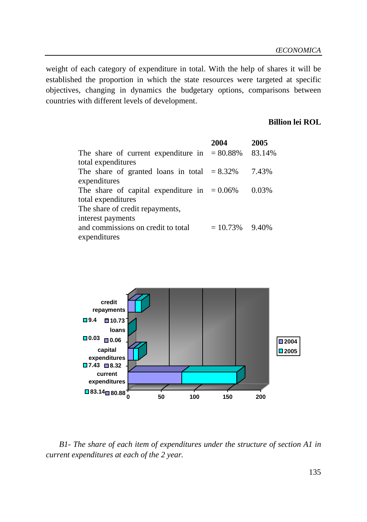weight of each category of expenditure in total. With the help of shares it will be established the proportion in which the state resources were targeted at specific objectives, changing in dynamics the budgetary options, comparisons between countries with different levels of development.

## **Billion lei ROL**

|                                                 | 2004              | 2005   |
|-------------------------------------------------|-------------------|--------|
| The share of current expenditure in $= 80.88\%$ |                   | 83.14% |
| total expenditures                              |                   |        |
| The share of granted loans in total $= 8.32\%$  |                   | 7.43%  |
| expenditures                                    |                   |        |
| The share of capital expenditure in $= 0.06\%$  |                   | 0.03%  |
| total expenditures                              |                   |        |
| The share of credit repayments,                 |                   |        |
| interest payments                               |                   |        |
| and commissions on credit to total              | $= 10.73\%$ 9.40% |        |
| expenditures                                    |                   |        |
|                                                 |                   |        |



*B1- The share of each item of expenditures under the structure of section A1 in current expenditures at each of the 2 year.*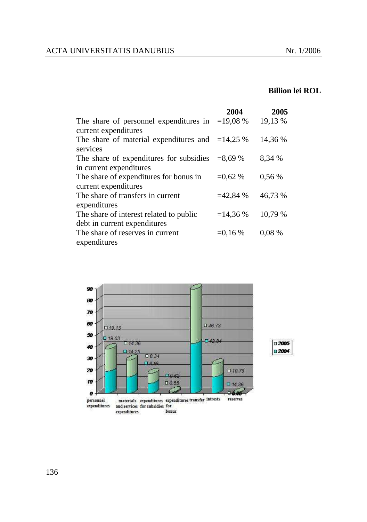# **Billion lei ROL**

|                                                   | 2004       | 2005     |
|---------------------------------------------------|------------|----------|
| The share of personnel expenditures in $=19,08\%$ |            | 19,13 %  |
| current expenditures                              |            |          |
| The share of material expenditures and $=14,25\%$ |            | 14,36 %  |
| services                                          |            |          |
| The share of expenditures for subsidies           | $= 8.69 %$ | 8,34 %   |
| in current expenditures                           |            |          |
| The share of expenditures for bonus in            | $=0.62\%$  | 0,56%    |
| current expenditures                              |            |          |
| The share of transfers in current                 | $=42,84%$  | 46,73 %  |
| expenditures                                      |            |          |
| The share of interest related to public           | $=14,36%$  | 10,79 %  |
| debt in current expenditures                      |            |          |
| The share of reserves in current                  | $=0.16%$   | $0.08\%$ |
| expenditures                                      |            |          |



136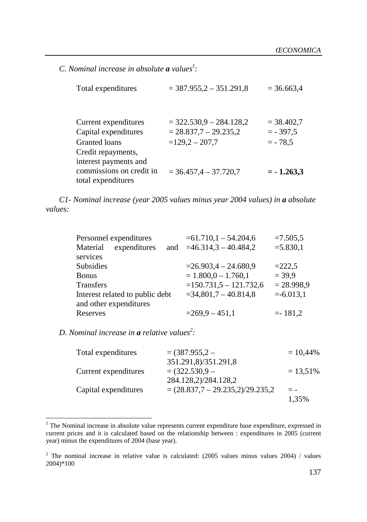*C. Nominal increase in absolute a values<sup>1</sup>* :

| Total expenditures                                                                  | $=$ 387.955,2 - 351.291,8                                                   | $= 36.663,4$                            |
|-------------------------------------------------------------------------------------|-----------------------------------------------------------------------------|-----------------------------------------|
| Current expenditures<br>Capital expenditures<br>Granted loans<br>Credit repayments, | $=$ 322.530,9 $-$ 284.128,2<br>$= 28.837,7 - 29.235,2$<br>$=$ 129,2 - 207,7 | $= 38.402,7$<br>$= -397,5$<br>$= -78.5$ |
| interest payments and<br>commissions on credit in<br>total expenditures             | $=$ 36.457,4 $-$ 37.720,7                                                   | $= -1.263,3$                            |

*C1- Nominal increase (year 2005 values minus year 2004 values) in a absolute values:* 

|                                 | $=61.710,1-54.204,6$    | $=7.505,5$           |
|---------------------------------|-------------------------|----------------------|
| and                             |                         | $= 5.830,1$          |
|                                 |                         |                      |
|                                 | $=26.903,4-24.680,9$    | $=222.5$             |
|                                 | $= 1.800, 0 - 1.760, 1$ | $= 39.9$             |
|                                 | $=150.731,5-121.732,6$  | $= 28.998.9$         |
| Interest related to public debt | $=34,801,7-40.814,8$    | $= -6.013,1$         |
|                                 |                         |                      |
|                                 | $=269.9-451.1$          | $= -181,2$           |
|                                 |                         | $=46.314,3-40.484,2$ |

*D. Nominal increase in a relative values<sup>2</sup> :* 

| Total expenditures   | $= (387.955.2 -$                   | $= 10,44\%$ |
|----------------------|------------------------------------|-------------|
|                      | 351.291,8)/351.291,8               |             |
| Current expenditures | $= (322.530.9 -$                   | $= 13,51\%$ |
|                      | 284.128,2)/284.128,2               |             |
| Capital expenditures | $=(28.837,7 - 29.235,2)/29.235,2)$ | $ -$        |
|                      |                                    | 1,35%       |

<sup>&</sup>lt;sup>1</sup> The Nominal increase in absolute value represents current expenditure base expenditure, expressed in current prices and it is calculated based on the relationship between : expenditures in 2005 (current year) minus the expenditures of 2004 (base year).

<sup>&</sup>lt;sup>2</sup> The nominal increase in relative value is calculated:  $(2005 \text{ values minus values } 2004)$  / values 2004)\*100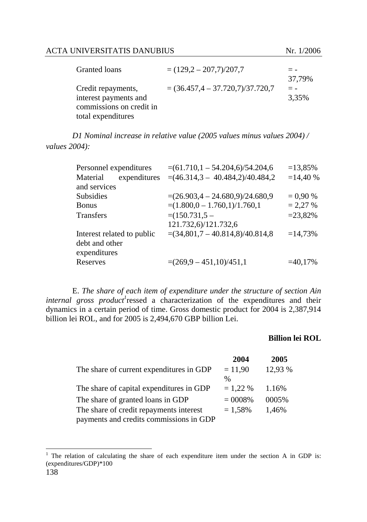| Granted loans            | $=(129.2-207.7)/207.7$                |        |
|--------------------------|---------------------------------------|--------|
|                          |                                       | 37.79% |
| Credit repayments,       | $= (36.457, 4 - 37.720, 7)/37.720, 7$ | $= -$  |
| interest payments and    |                                       | 3,35%  |
| commissions on credit in |                                       |        |
| total expenditures       |                                       |        |

*D1 Nominal increase in relative value (2005 values minus values 2004) / values 2004):* 

| Personnel expenditures     | $=(61.710, 1 - 54.204, 6)/54.204, 6)$ | $=13,85%$  |
|----------------------------|---------------------------------------|------------|
| Material<br>expenditures   | $=(46.314,3 - 40.484,2)/40.484,2)$    | $=14,40%$  |
| and services               |                                       |            |
| <b>Subsidies</b>           | $=(26.903,4 - 24.680,9)/24.680,9)$    | $= 0.90 %$ |
| <b>Bonus</b>               | $=(1.800, 0 - 1.760, 1)/1.760, 1)$    | $= 2,27%$  |
| <b>Transfers</b>           | $=(150.731,5-$                        | $= 23,82%$ |
|                            | 121.732,6)/121.732,6                  |            |
| Interest related to public | $=(34,801,7 - 40.814,8)/40.814,8$     | $=14,73%$  |
| debt and other             |                                       |            |
| expenditures               |                                       |            |
| Reserves                   | $=(269.9 - 451.10)/451.1$             | $=40,17%$  |

E. *The share of each item of expenditure under the structure of section Ain internal gross product*<sup>1</sup> ressed a characterization of the expenditures and their dynamics in a certain period of time. Gross domestic product for 2004 is 2,387,914 billion lei ROL, and for 2005 is 2,494,670 GBP billion Lei.

#### **Billion lei ROL**

|                                          | 2004       | 2005    |
|------------------------------------------|------------|---------|
| The share of current expenditures in GDP | $= 11,90$  | 12,93 % |
|                                          | %          |         |
| The share of capital expenditures in GDP | $= 1,22%$  | 1.16%   |
| The share of granted loans in GDP        | $= 0008\%$ | 0005\%  |
| The share of credit repayments interest  | $= 1,58%$  | 1,46%   |
| payments and credits commissions in GDP  |            |         |

l

<sup>&</sup>lt;sup>1</sup> The relation of calculating the share of each expenditure item under the section A in GDP is: (expenditures/GDP)\*100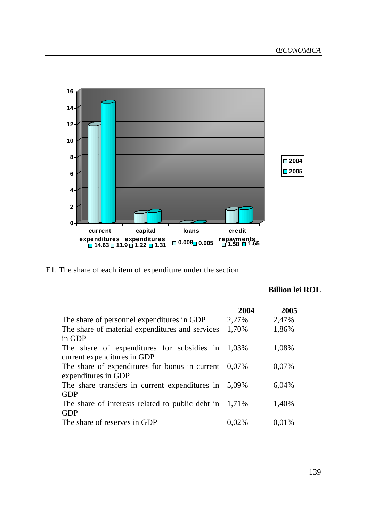

E1. The share of each item of expenditure under the section

# **Billion lei ROL**

|                                                           | 2004     | 2005  |
|-----------------------------------------------------------|----------|-------|
| The share of personnel expenditures in GDP                | 2,27%    | 2,47% |
| The share of material expenditures and services           | 1,70%    | 1,86% |
| in GDP                                                    |          |       |
| The share of expenditures for subsidies in                | 1.03%    | 1,08% |
| current expenditures in GDP                               |          |       |
| The share of expenditures for bonus in current            | $0.07\%$ | 0.07% |
| expenditures in GDP                                       |          |       |
| The share transfers in current expenditures in 5,09%      |          | 6,04% |
| <b>GDP</b>                                                |          |       |
| The share of interests related to public debt in $1,71\%$ |          | 1,40% |
| <b>GDP</b>                                                |          |       |
| The share of reserves in GDP                              | 0.02%    | 0,01% |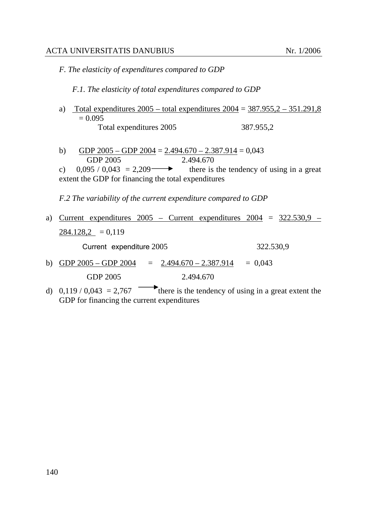*F. The elasticity of expenditures compared to GDP* 

*F.1. The elasticity of total expenditures compared to GDP* 

- a) Total expenditures  $2005 -$  total expenditures  $2004 = 387.955, 2 351.291, 8$  $= 0.095$ Total expenditures 2005387.955,2
- b) GDP  $2005 GDP 2004 = 2.494.670 2.387.914 = 0.043$ GDP 2005 2.494.670

*F.2 The variability of the current expenditure compared to GDP* 

a) Current expenditures  $2005$  – Current expenditures  $2004 = 322.530,9$  –  $284.128,2 = 0,119$ 

Current expenditure 2005 322.530,9

- b) GDP  $2005 GDP 2004 = 2.494.670 2.387.914 = 0.043$ GDP 2005 2.494.670
- d) 0,119 / 0,043 = 2,767 there is the tendency of using in a great extent the GDP for financing the current expenditures

c)  $0,095 / 0,043 = 2,209$  there is the tendency of using in a great extent the GDP for financing the total expenditures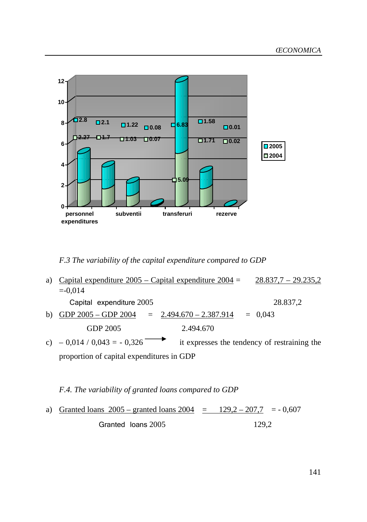

*F.3 The variability of the capital expenditure compared to GDP* 

| a) | Capital expenditure $2005 -$ Capital expenditure $2004 =$ | $28.837,7 - 29.235,2$     |                                              |
|----|-----------------------------------------------------------|---------------------------|----------------------------------------------|
|    | $=-0.014$                                                 |                           |                                              |
|    | Capital expenditure 2005                                  |                           | 28.837,2                                     |
| b) | GDP $2005 - GDP 2004$                                     | $= 2.494.670 - 2.387.914$ | $= 0.043$                                    |
|    | GDP 2005                                                  | 2.494.670                 |                                              |
|    | c) $-0.014 / 0.043 = -0.326$                              |                           | it expresses the tendency of restraining the |
|    | proportion of capital expenditures in GDP                 |                           |                                              |

*F.4. The variability of granted loans compared to GDP* 

a) Granted loans  $2005 -$  granted loans  $2004 = 129,2 - 207,7 = -0,607$ Granted loans 2005 129,2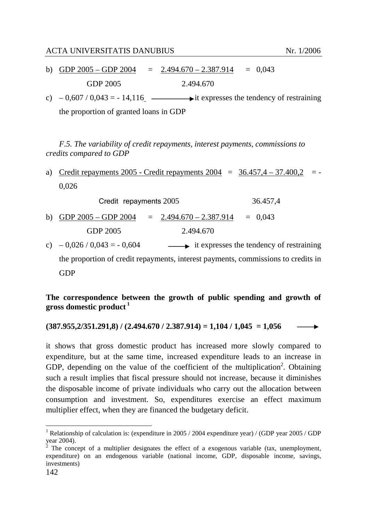- b) GDP  $2005 GDP 2004 = 2.494.670 2.387.914 = 0.043$ GDP 2005 2.494.670
- c)  $-0.607 / 0.043 = -14.116$   $\longrightarrow$  it expresses the tendency of restraining the proportion of granted loans in GDP

*F.5. The variability of credit repayments, interest payments, commissions to credits compared to GDP* 

a) Credit repayments 2005 - Credit repayments  $2004 = 36.457,4 - 37.400,2 = -$ 0,026

|           | Credit repayments 2005                                   |  |           | 36.457.4                                                                              |
|-----------|----------------------------------------------------------|--|-----------|---------------------------------------------------------------------------------------|
|           | b) GDP $2005 - GDP 2004 = 2.494.670 - 2.387.914 = 0,043$ |  |           |                                                                                       |
|           | GDP 2005                                                 |  | 2.494.670 |                                                                                       |
| $\lambda$ | 0.02510.0420                                             |  |           | $\mathbf{1}$ . The company of the state of the state of $\mathbf{C}$ and $\mathbf{C}$ |

c)  $-0.026 / 0.043 = -0.604$  it expresses the tendency of restraining the proportion of credit repayments, interest payments, commissions to credits in GDP

# **The correspondence between the growth of public spending and growth of gross domestic product<sup>1</sup>**

**(387.955,2/351.291,8) / (2.494.670 / 2.387.914) = 1,104 / 1,045 = 1,056** 

it shows that gross domestic product has increased more slowly compared to expenditure, but at the same time, increased expenditure leads to an increase in GDP, depending on the value of the coefficient of the multiplication<sup>2</sup>. Obtaining such a result implies that fiscal pressure should not increase, because it diminishes the disposable income of private individuals who carry out the allocation between consumption and investment. So, expenditures exercise an effect maximum multiplier effect, when they are financed the budgetary deficit.

l

<sup>&</sup>lt;sup>1</sup> Relationship of calculation is: (expenditure in 2005 / 2004 expenditure year) / (GDP year 2005 / GDP year 2004).<br><sup>2</sup> The concept of a multiplier designates the effect of a exogenous variable (tax, unemployment,

expenditure) on an endogenous variable (national income, GDP, disposable income, savings, investments)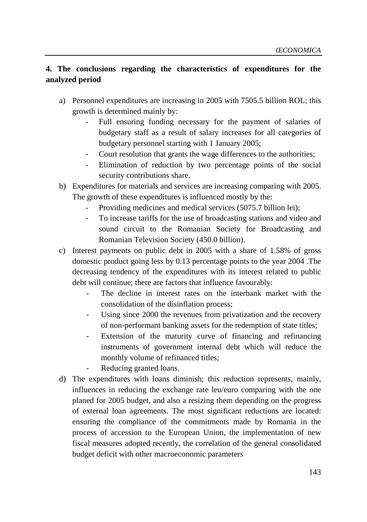# **4. The conclusions regarding the characteristics of expenditures for the analyzed period**

- a) Personnel expenditures are increasing in 2005 with 7505.5 billion ROL; this growth is determined mainly by:
	- Full ensuring funding necessary for the payment of salaries of budgetary staff as a result of salary increases for all categories of budgetary personnel starting with 1 January 2005;
	- Court resolution that grants the wage differences to the authorities;
	- Elimination of reduction by two percentage points of the social security contributions share.
- b) Expenditures for materials and services are increasing comparing with 2005. The growth of these expenditures is influenced mostly by the:
	- Providing medicines and medical services (5075.7 billion lei);
	- To increase tariffs for the use of broadcasting stations and video and sound circuit to the Romanian Society for Broadcasting and Romanian Television Society (450.0 billion).
- c) Interest payments on public debt in 2005 with a share of 1.58% of gross domestic product going less by 0.13 percentage points to the year 2004 .The decreasing tendency of the expenditures with its interest related to public debt will continue; there are factors that influence favourably:
	- The decline in interest rates on the interbank market with the consolidation of the disinflation process;
	- Using since 2000 the revenues from privatization and the recovery of non-performant banking assets for the redemption of state titles;
	- Extension of the maturity curve of financing and refinancing instruments of government internal debt which will reduce the monthly volume of refinanced titles;
	- Reducing granted loans.
- d) The expenditures with loans diminish; this reduction represents, mainly, influences in reducing the exchange rate leu/euro comparing with the one planed for 2005 budget, and also a resizing them depending on the progress of external loan agreements. The most significant reductions are located: ensuring the compliance of the commitments made by Romania in the process of accession to the European Union, the implementation of new fiscal measures adopted recently, the correlation of the general consolidated budget deficit with other macroeconomic parameters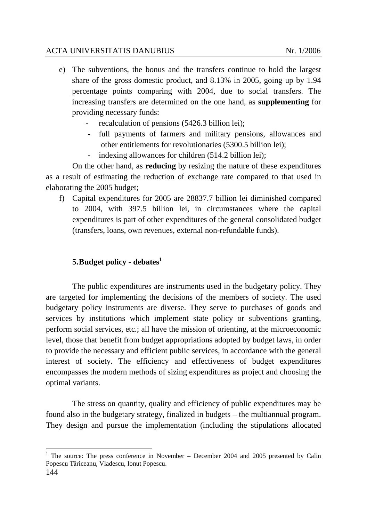- e) The subventions, the bonus and the transfers continue to hold the largest share of the gross domestic product, and 8.13% in 2005, going up by 1.94 percentage points comparing with 2004, due to social transfers. The increasing transfers are determined on the one hand, as **supplementing** for providing necessary funds:
	- recalculation of pensions (5426.3 billion lei);
	- full payments of farmers and military pensions, allowances and other entitlements for revolutionaries (5300.5 billion lei);
	- indexing allowances for children (514.2 billion lei);

On the other hand, as **reducing** by resizing the nature of these expenditures as a result of estimating the reduction of exchange rate compared to that used in elaborating the 2005 budget;

f) Capital expenditures for 2005 are 28837.7 billion lei diminished compared to 2004, with 397.5 billion lei, in circumstances where the capital expenditures is part of other expenditures of the general consolidated budget (transfers, loans, own revenues, external non-refundable funds).

# **5.Budget policy - debates<sup>1</sup>**

The public expenditures are instruments used in the budgetary policy. They are targeted for implementing the decisions of the members of society. The used budgetary policy instruments are diverse. They serve to purchases of goods and services by institutions which implement state policy or subventions granting, perform social services, etc.; all have the mission of orienting, at the microeconomic level, those that benefit from budget appropriations adopted by budget laws, in order to provide the necessary and efficient public services, in accordance with the general interest of society. The efficiency and effectiveness of budget expenditures encompasses the modern methods of sizing expenditures as project and choosing the optimal variants.

The stress on quantity, quality and efficiency of public expenditures may be found also in the budgetary strategy, finalized in budgets – the multiannual program. They design and pursue the implementation (including the stipulations allocated

l <sup>1</sup> The source: The press conference in November – December 2004 and 2005 presented by Calin Popescu Tăriceanu, Vladescu, Ionut Popescu.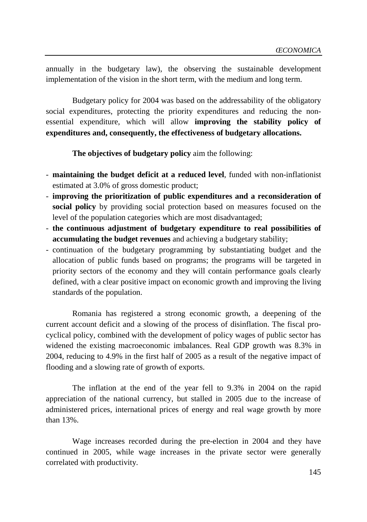annually in the budgetary law), the observing the sustainable development implementation of the vision in the short term, with the medium and long term.

Budgetary policy for 2004 was based on the addressability of the obligatory social expenditures, protecting the priority expenditures and reducing the nonessential expenditure, which will allow **improving the stability policy of expenditures and, consequently, the effectiveness of budgetary allocations.** 

**The objectives of budgetary policy** aim the following:

- **maintaining the budget deficit at a reduced level**, funded with non-inflationist estimated at 3.0% of gross domestic product;
- **improving the prioritization of public expenditures and a reconsideration of social policy** by providing social protection based on measures focused on the level of the population categories which are most disadvantaged;
- **the continuous adjustment of budgetary expenditure to real possibilities of accumulating the budget revenues** and achieving a budgetary stability;
- continuation of the budgetary programming by substantiating budget and the allocation of public funds based on programs; the programs will be targeted in priority sectors of the economy and they will contain performance goals clearly defined, with a clear positive impact on economic growth and improving the living standards of the population.

Romania has registered a strong economic growth, a deepening of the current account deficit and a slowing of the process of disinflation. The fiscal procyclical policy, combined with the development of policy wages of public sector has widened the existing macroeconomic imbalances. Real GDP growth was 8.3% in 2004, reducing to 4.9% in the first half of 2005 as a result of the negative impact of flooding and a slowing rate of growth of exports.

The inflation at the end of the year fell to 9.3% in 2004 on the rapid appreciation of the national currency, but stalled in 2005 due to the increase of administered prices, international prices of energy and real wage growth by more than 13%.

Wage increases recorded during the pre-election in 2004 and they have continued in 2005, while wage increases in the private sector were generally correlated with productivity.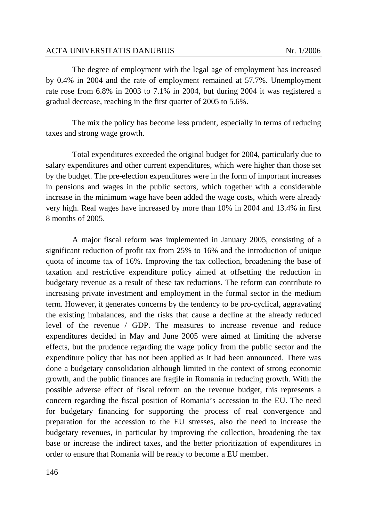The degree of employment with the legal age of employment has increased by 0.4% in 2004 and the rate of employment remained at 57.7%. Unemployment rate rose from 6.8% in 2003 to 7.1% in 2004, but during 2004 it was registered a gradual decrease, reaching in the first quarter of 2005 to 5.6%.

The mix the policy has become less prudent, especially in terms of reducing taxes and strong wage growth.

Total expenditures exceeded the original budget for 2004, particularly due to salary expenditures and other current expenditures, which were higher than those set by the budget. The pre-election expenditures were in the form of important increases in pensions and wages in the public sectors, which together with a considerable increase in the minimum wage have been added the wage costs, which were already very high. Real wages have increased by more than 10% in 2004 and 13.4% in first 8 months of 2005.

A major fiscal reform was implemented in January 2005, consisting of a significant reduction of profit tax from 25% to 16% and the introduction of unique quota of income tax of 16%. Improving the tax collection, broadening the base of taxation and restrictive expenditure policy aimed at offsetting the reduction in budgetary revenue as a result of these tax reductions. The reform can contribute to increasing private investment and employment in the formal sector in the medium term. However, it generates concerns by the tendency to be pro-cyclical, aggravating the existing imbalances, and the risks that cause a decline at the already reduced level of the revenue / GDP. The measures to increase revenue and reduce expenditures decided in May and June 2005 were aimed at limiting the adverse effects, but the prudence regarding the wage policy from the public sector and the expenditure policy that has not been applied as it had been announced. There was done a budgetary consolidation although limited in the context of strong economic growth, and the public finances are fragile in Romania in reducing growth. With the possible adverse effect of fiscal reform on the revenue budget, this represents a concern regarding the fiscal position of Romania's accession to the EU. The need for budgetary financing for supporting the process of real convergence and preparation for the accession to the EU stresses, also the need to increase the budgetary revenues, in particular by improving the collection, broadening the tax base or increase the indirect taxes, and the better prioritization of expenditures in order to ensure that Romania will be ready to become a EU member.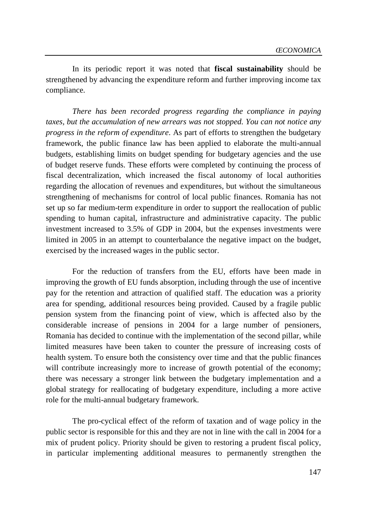In its periodic report it was noted that **fiscal sustainability** should be strengthened by advancing the expenditure reform and further improving income tax compliance.

*There has been recorded progress regarding the compliance in paying taxes, but the accumulation of new arrears was not stopped. You can not notice any progress in the reform of expenditure*. As part of efforts to strengthen the budgetary framework, the public finance law has been applied to elaborate the multi-annual budgets, establishing limits on budget spending for budgetary agencies and the use of budget reserve funds. These efforts were completed by continuing the process of fiscal decentralization, which increased the fiscal autonomy of local authorities regarding the allocation of revenues and expenditures, but without the simultaneous strengthening of mechanisms for control of local public finances. Romania has not set up so far medium-term expenditure in order to support the reallocation of public spending to human capital, infrastructure and administrative capacity. The public investment increased to 3.5% of GDP in 2004, but the expenses investments were limited in 2005 in an attempt to counterbalance the negative impact on the budget, exercised by the increased wages in the public sector.

For the reduction of transfers from the EU, efforts have been made in improving the growth of EU funds absorption, including through the use of incentive pay for the retention and attraction of qualified staff. The education was a priority area for spending, additional resources being provided. Caused by a fragile public pension system from the financing point of view, which is affected also by the considerable increase of pensions in 2004 for a large number of pensioners, Romania has decided to continue with the implementation of the second pillar, while limited measures have been taken to counter the pressure of increasing costs of health system. To ensure both the consistency over time and that the public finances will contribute increasingly more to increase of growth potential of the economy; there was necessary a stronger link between the budgetary implementation and a global strategy for reallocating of budgetary expenditure, including a more active role for the multi-annual budgetary framework.

The pro-cyclical effect of the reform of taxation and of wage policy in the public sector is responsible for this and they are not in line with the call in 2004 for a mix of prudent policy. Priority should be given to restoring a prudent fiscal policy, in particular implementing additional measures to permanently strengthen the